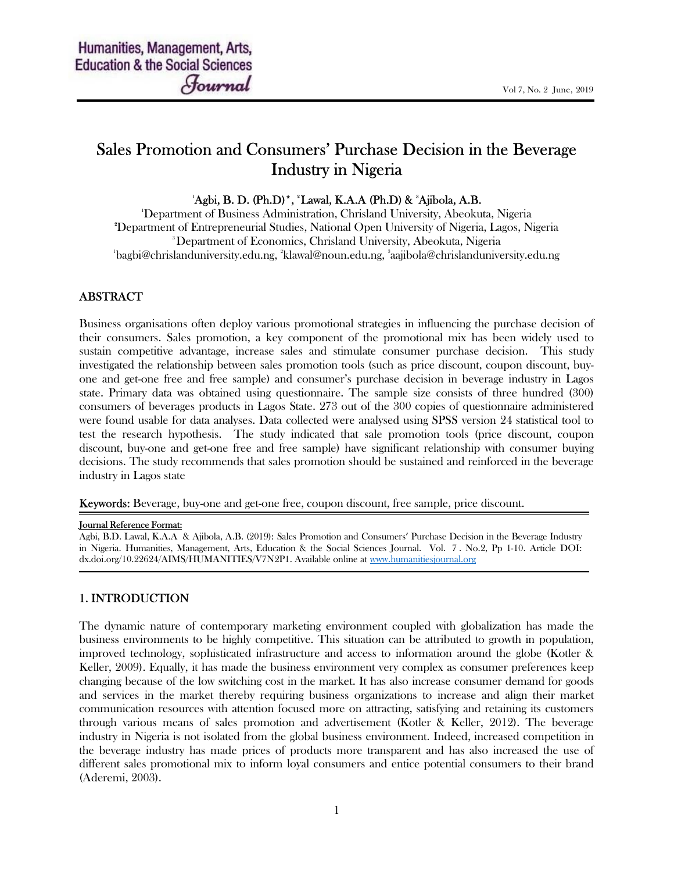# Sales Promotion and Consumers' Purchase Decision in the Beverage Industry in Nigeria

### $^{1}$ Agbi, B. D. (Ph.D)<sup>\*</sup>,  $^{2}$ Lawal, K.A.A (Ph.D) &  $^{3}$ Ajibola, A.B.

Department of Business Administration, Chrisland University, Abeokuta, Nigeria Department of Entrepreneurial Studies, National Open University of Nigeria, Lagos, Nigeria Department of Economics, Chrisland University, Abeokuta, Nigeria bagbi@chrislanduniversity.edu.ng, <sup>2</sup>klawal@noun.edu.ng, <sup>3</sup> aajibola@chrislanduniversity.edu.ng

### ABSTRACT

Business organisations often deploy various promotional strategies in influencing the purchase decision of their consumers. Sales promotion, a key component of the promotional mix has been widely used to sustain competitive advantage, increase sales and stimulate consumer purchase decision. This study investigated the relationship between sales promotion tools (such as price discount, coupon discount, buyone and get-one free and free sample) and consumer's purchase decision in beverage industry in Lagos state. Primary data was obtained using questionnaire. The sample size consists of three hundred (300) consumers of beverages products in Lagos State. 273 out of the 300 copies of questionnaire administered were found usable for data analyses. Data collected were analysed using SPSS version 24 statistical tool to test the research hypothesis. The study indicated that sale promotion tools (price discount, coupon discount, buy-one and get-one free and free sample) have significant relationship with consumer buying decisions. The study recommends that sales promotion should be sustained and reinforced in the beverage industry in Lagos state

Keywords: Beverage, buy-one and get-one free, coupon discount, free sample, price discount.

#### Journal Reference Format:

Agbi, B.D. Lawal, K.A.A & Ajibola, A.B. (2019): Sales Promotion and Consumers' Purchase Decision in the Beverage Industry in Nigeria. Humanities, Management, Arts, Education & the Social Sciences Journal. Vol. 7 . No.2, Pp 1-10. Article DOI: dx.doi.org/10.22624/AIMS/HUMANITIES/V7N2P1. Available online at www.humanitiesjournal.org

### 1. INTRODUCTION

The dynamic nature of contemporary marketing environment coupled with globalization has made the business environments to be highly competitive. This situation can be attributed to growth in population, improved technology, sophisticated infrastructure and access to information around the globe (Kotler & Keller, 2009). Equally, it has made the business environment very complex as consumer preferences keep changing because of the low switching cost in the market. It has also increase consumer demand for goods and services in the market thereby requiring business organizations to increase and align their market communication resources with attention focused more on attracting, satisfying and retaining its customers through various means of sales promotion and advertisement (Kotler & Keller, 2012). The beverage industry in Nigeria is not isolated from the global business environment. Indeed, increased competition in the beverage industry has made prices of products more transparent and has also increased the use of different sales promotional mix to inform loyal consumers and entice potential consumers to their brand (Aderemi, 2003).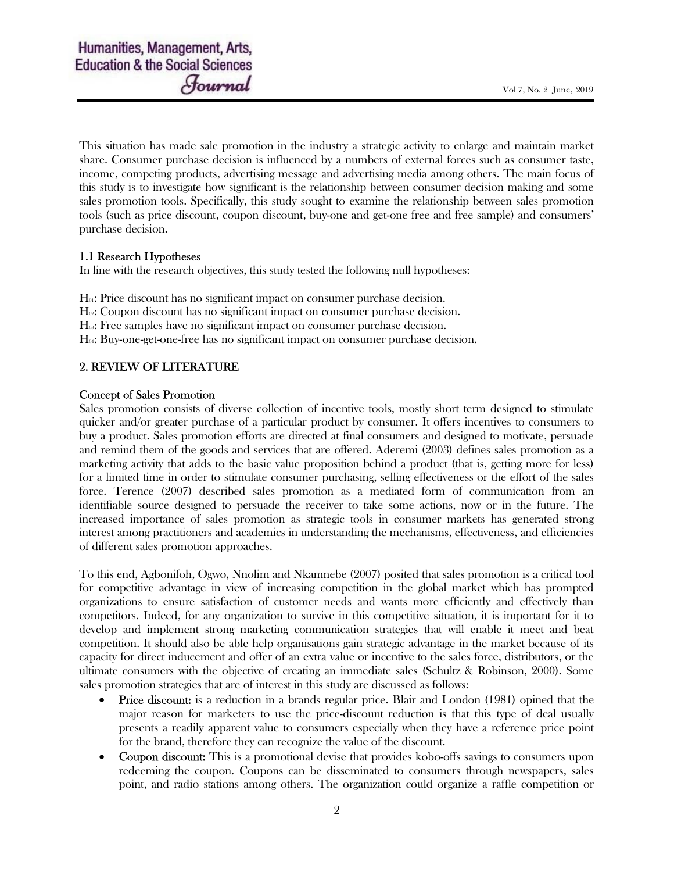This situation has made sale promotion in the industry a strategic activity to enlarge and maintain market share. Consumer purchase decision is influenced by a numbers of external forces such as consumer taste, income, competing products, advertising message and advertising media among others. The main focus of this study is to investigate how significant is the relationship between consumer decision making and some sales promotion tools. Specifically, this study sought to examine the relationship between sales promotion tools (such as price discount, coupon discount, buy-one and get-one free and free sample) and consumers' purchase decision.

### 1.1 Research Hypotheses

In line with the research objectives, this study tested the following null hypotheses:

- $H<sub>0</sub>$ : Price discount has no significant impact on consumer purchase decision.
- H<sub>02</sub>: Coupon discount has no significant impact on consumer purchase decision.
- H<sub>03</sub>: Free samples have no significant impact on consumer purchase decision.
- $H<sub>04</sub>$ : Buy-one-get-one-free has no significant impact on consumer purchase decision.

### 2. REVIEW OF LITERATURE

### Concept of Sales Promotion

Sales promotion consists of diverse collection of incentive tools, mostly short term designed to stimulate quicker and/or greater purchase of a particular product by consumer. It offers incentives to consumers to buy a product. Sales promotion efforts are directed at final consumers and designed to motivate, persuade and remind them of the goods and services that are offered. Aderemi (2003) defines sales promotion as a marketing activity that adds to the basic value proposition behind a product (that is, getting more for less) for a limited time in order to stimulate consumer purchasing, selling effectiveness or the effort of the sales force. Terence (2007) described sales promotion as a mediated form of communication from an identifiable source designed to persuade the receiver to take some actions, now or in the future. The increased importance of sales promotion as strategic tools in consumer markets has generated strong interest among practitioners and academics in understanding the mechanisms, effectiveness, and efficiencies of different sales promotion approaches.

To this end, Agbonifoh, Ogwo, Nnolim and Nkamnebe (2007) posited that sales promotion is a critical tool for competitive advantage in view of increasing competition in the global market which has prompted organizations to ensure satisfaction of customer needs and wants more efficiently and effectively than competitors. Indeed, for any organization to survive in this competitive situation, it is important for it to develop and implement strong marketing communication strategies that will enable it meet and beat competition. It should also be able help organisations gain strategic advantage in the market because of its capacity for direct inducement and offer of an extra value or incentive to the sales force, distributors, or the ultimate consumers with the objective of creating an immediate sales (Schultz & Robinson, 2000). Some sales promotion strategies that are of interest in this study are discussed as follows:

- Price discount: is a reduction in a brands regular price. Blair and London (1981) opined that the major reason for marketers to use the price-discount reduction is that this type of deal usually presents a readily apparent value to consumers especially when they have a reference price point for the brand, therefore they can recognize the value of the discount.
- Coupon discount: This is a promotional devise that provides kobo-offs savings to consumers upon redeeming the coupon. Coupons can be disseminated to consumers through newspapers, sales point, and radio stations among others. The organization could organize a raffle competition or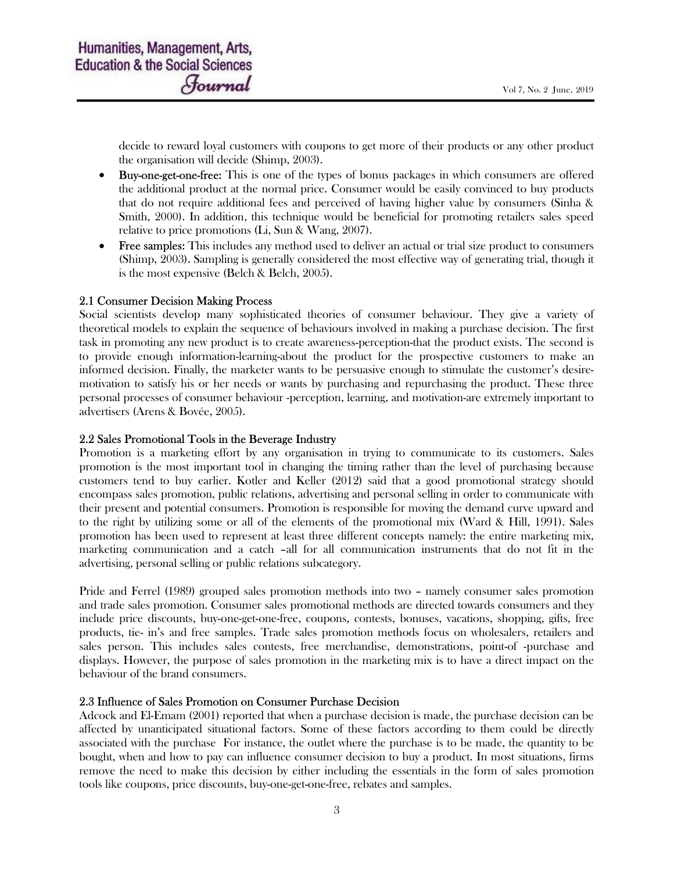decide to reward loyal customers with coupons to get more of their products or any other product the organisation will decide (Shimp, 2003).

- Buy-one-get-one-free: This is one of the types of bonus packages in which consumers are offered the additional product at the normal price. Consumer would be easily convinced to buy products that do not require additional fees and perceived of having higher value by consumers (Sinha & Smith, 2000). In addition, this technique would be beneficial for promoting retailers sales speed relative to price promotions (Li, Sun & Wang, 2007).
- Free samples: This includes any method used to deliver an actual or trial size product to consumers (Shimp, 2003). Sampling is generally considered the most effective way of generating trial, though it is the most expensive (Belch & Belch, 2005).

### 2.1 Consumer Decision Making Process

Social scientists develop many sophisticated theories of consumer behaviour. They give a variety of theoretical models to explain the sequence of behaviours involved in making a purchase decision. The first task in promoting any new product is to create awareness-perception-that the product exists. The second is to provide enough information-learning-about the product for the prospective customers to make an informed decision. Finally, the marketer wants to be persuasive enough to stimulate the customer's desiremotivation to satisfy his or her needs or wants by purchasing and repurchasing the product. These three personal processes of consumer behaviour -perception, learning, and motivation-are extremely important to advertisers (Arens & Bovée, 2005).

#### 2.2 Sales Promotional Tools in the Beverage Industry

Promotion is a marketing effort by any organisation in trying to communicate to its customers. Sales promotion is the most important tool in changing the timing rather than the level of purchasing because customers tend to buy earlier. Kotler and Keller (2012) said that a good promotional strategy should encompass sales promotion, public relations, advertising and personal selling in order to communicate with their present and potential consumers. Promotion is responsible for moving the demand curve upward and to the right by utilizing some or all of the elements of the promotional mix (Ward & Hill, 1991). Sales promotion has been used to represent at least three different concepts namely: the entire marketing mix, marketing communication and a catch –all for all communication instruments that do not fit in the advertising, personal selling or public relations subcategory.

Pride and Ferrel (1989) grouped sales promotion methods into two – namely consumer sales promotion and trade sales promotion. Consumer sales promotional methods are directed towards consumers and they include price discounts, buy-one-get-one-free, coupons, contests, bonuses, vacations, shopping, gifts, free products, tie- in's and free samples. Trade sales promotion methods focus on wholesalers, retailers and sales person. This includes sales contests, free merchandise, demonstrations, point-of -purchase and displays. However, the purpose of sales promotion in the marketing mix is to have a direct impact on the behaviour of the brand consumers.

#### 2.3 Influence of Sales Promotion on Consumer Purchase Decision

Adcock and El-Emam (2001) reported that when a purchase decision is made, the purchase decision can be affected by unanticipated situational factors. Some of these factors according to them could be directly associated with the purchase For instance, the outlet where the purchase is to be made, the quantity to be bought, when and how to pay can influence consumer decision to buy a product. In most situations, firms remove the need to make this decision by either including the essentials in the form of sales promotion tools like coupons, price discounts, buy-one-get-one-free, rebates and samples.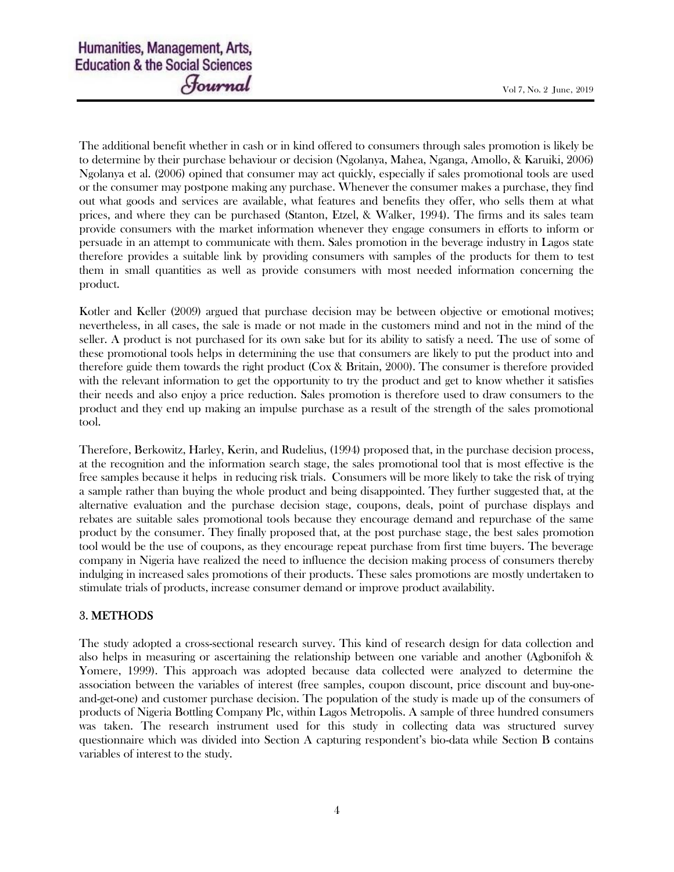The additional benefit whether in cash or in kind offered to consumers through sales promotion is likely be to determine by their purchase behaviour or decision (Ngolanya, Mahea, Nganga, Amollo, & Karuiki, 2006) Ngolanya et al. (2006) opined that consumer may act quickly, especially if sales promotional tools are used or the consumer may postpone making any purchase. Whenever the consumer makes a purchase, they find out what goods and services are available, what features and benefits they offer, who sells them at what prices, and where they can be purchased (Stanton, Etzel, & Walker, 1994). The firms and its sales team provide consumers with the market information whenever they engage consumers in efforts to inform or persuade in an attempt to communicate with them. Sales promotion in the beverage industry in Lagos state therefore provides a suitable link by providing consumers with samples of the products for them to test them in small quantities as well as provide consumers with most needed information concerning the product.

Kotler and Keller (2009) argued that purchase decision may be between objective or emotional motives; nevertheless, in all cases, the sale is made or not made in the customers mind and not in the mind of the seller. A product is not purchased for its own sake but for its ability to satisfy a need. The use of some of these promotional tools helps in determining the use that consumers are likely to put the product into and therefore guide them towards the right product (Cox & Britain, 2000). The consumer is therefore provided with the relevant information to get the opportunity to try the product and get to know whether it satisfies their needs and also enjoy a price reduction. Sales promotion is therefore used to draw consumers to the product and they end up making an impulse purchase as a result of the strength of the sales promotional tool.

Therefore, Berkowitz, Harley, Kerin, and Rudelius, (1994) proposed that, in the purchase decision process, at the recognition and the information search stage, the sales promotional tool that is most effective is the free samples because it helps in reducing risk trials. Consumers will be more likely to take the risk of trying a sample rather than buying the whole product and being disappointed. They further suggested that, at the alternative evaluation and the purchase decision stage, coupons, deals, point of purchase displays and rebates are suitable sales promotional tools because they encourage demand and repurchase of the same product by the consumer. They finally proposed that, at the post purchase stage, the best sales promotion tool would be the use of coupons, as they encourage repeat purchase from first time buyers. The beverage company in Nigeria have realized the need to influence the decision making process of consumers thereby indulging in increased sales promotions of their products. These sales promotions are mostly undertaken to stimulate trials of products, increase consumer demand or improve product availability.

## 3. METHODS

The study adopted a cross-sectional research survey. This kind of research design for data collection and also helps in measuring or ascertaining the relationship between one variable and another (Agbonifoh & Yomere, 1999). This approach was adopted because data collected were analyzed to determine the association between the variables of interest (free samples, coupon discount, price discount and buy-oneand-get-one) and customer purchase decision. The population of the study is made up of the consumers of products of Nigeria Bottling Company Plc, within Lagos Metropolis. A sample of three hundred consumers was taken. The research instrument used for this study in collecting data was structured survey questionnaire which was divided into Section A capturing respondent's bio-data while Section B contains variables of interest to the study.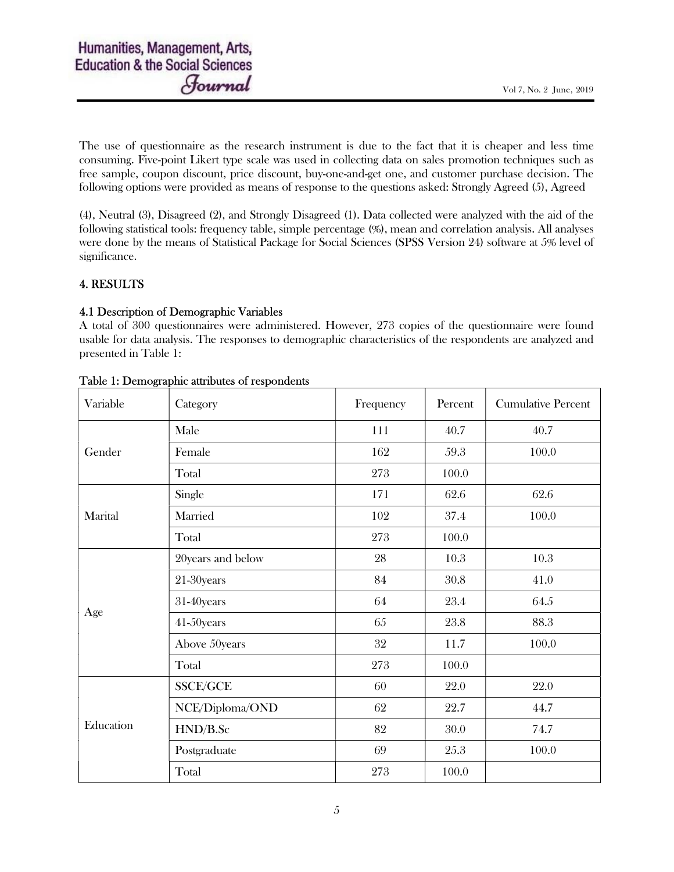The use of questionnaire as the research instrument is due to the fact that it is cheaper and less time consuming. Five-point Likert type scale was used in collecting data on sales promotion techniques such as free sample, coupon discount, price discount, buy-one-and-get one, and customer purchase decision. The following options were provided as means of response to the questions asked: Strongly Agreed (5), Agreed

(4), Neutral (3), Disagreed (2), and Strongly Disagreed (1). Data collected were analyzed with the aid of the following statistical tools: frequency table, simple percentage (%), mean and correlation analysis. All analyses were done by the means of Statistical Package for Social Sciences (SPSS Version 24) software at 5% level of significance.

### 4. RESULTS

### 4.1 Description of Demographic Variables

A total of 300 questionnaires were administered. However, 273 copies of the questionnaire were found usable for data analysis. The responses to demographic characteristics of the respondents are analyzed and presented in Table 1:

| Variable  | Category          | Frequency | Percent | <b>Cumulative Percent</b> |  |
|-----------|-------------------|-----------|---------|---------------------------|--|
|           | Male              | 111       | 40.7    | 40.7                      |  |
| Gender    | Female            | 162       | 59.3    | 100.0                     |  |
|           | Total             | 273       | 100.0   |                           |  |
| Marital   | Single            | 171       | 62.6    | 62.6                      |  |
|           | Married           | 102       | 37.4    | 100.0                     |  |
|           | Total             | 273       | 100.0   |                           |  |
| Age       | 20years and below | 28        | 10.3    | 10.3                      |  |
|           | 21-30years        | 84        | 30.8    | 41.0                      |  |
|           | 31-40years        | 64        | 23.4    | 64.5                      |  |
|           | 41-50years        | 65        | 23.8    | 88.3                      |  |
|           | Above 50years     | 32        | 11.7    | 100.0                     |  |
|           | Total             | 273       | 100.0   |                           |  |
| Education | SSCE/GCE          | 60        | 22.0    | 22.0                      |  |
|           | NCE/Diploma/OND   | 62        | 22.7    | 44.7                      |  |
|           | HND/B.Sc          | 82        | 30.0    | 74.7                      |  |
|           | Postgraduate      | 69        | 25.3    | 100.0                     |  |
|           | Total             | 273       | 100.0   |                           |  |

### Table 1: Demographic attributes of respondents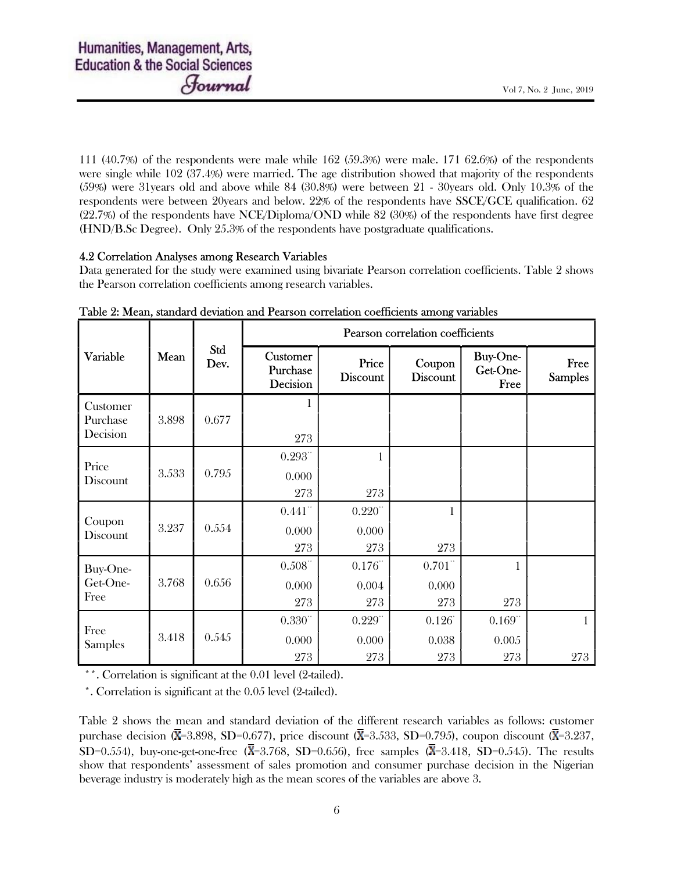111 (40.7%) of the respondents were male while 162 (59.3%) were male. 171 62.6%) of the respondents were single while 102 (37.4%) were married. The age distribution showed that majority of the respondents (59%) were 31years old and above while 84 (30.8%) were between 21 - 30years old. Only 10.3% of the respondents were between 20years and below. 22% of the respondents have SSCE/GCE qualification. 62 (22.7%) of the respondents have NCE/Diploma/OND while 82 (30%) of the respondents have first degree (HND/B.Sc Degree). Only 25.3% of the respondents have postgraduate qualifications.

### 4.2 Correlation Analyses among Research Variables

Data generated for the study were examined using bivariate Pearson correlation coefficients. Table 2 shows the Pearson correlation coefficients among research variables.

| Variable                         | Mean  | Std<br>Dev. | Pearson correlation coefficients |                           |                           |                                     |                        |
|----------------------------------|-------|-------------|----------------------------------|---------------------------|---------------------------|-------------------------------------|------------------------|
|                                  |       |             | Customer<br>Purchase<br>Decision | Price<br><b>Discount</b>  | Coupon<br><b>Discount</b> | <b>Buy-One-</b><br>Get-One-<br>Free | Free<br><b>Samples</b> |
| Customer<br>Purchase<br>Decision | 3.898 | 0.677       | $\mathbf{1}$<br>273              |                           |                           |                                     |                        |
| Price<br>Discount                | 3.533 | 0.795       | $0.293$ "<br>0.000<br>273        | 1<br>273                  |                           |                                     |                        |
| Coupon<br>Discount               | 3.237 | 0.554       | 0.441<br>0.000<br>273            | $0.220$ "<br>0.000<br>273 | 1<br>273                  |                                     |                        |
| Buy-One-<br>Get-One-<br>Free     | 3.768 | 0.656       | $0.508$ "<br>0.000<br>273        | 0.176<br>0.004<br>273     | $0.701$ "<br>0.000<br>273 | $\mathbf{1}$<br>273                 |                        |
| Free<br><b>Samples</b>           | 3.418 | 0.545       | 0.330<br>0.000<br>273            | $0.229$ "<br>0.000<br>273 | 0.126<br>0.038<br>273     | 0.169<br>0.005<br>273               | 1<br>273               |

Table 2: Mean, standard deviation and Pearson correlation coefficients among variables

\*\*. Correlation is significant at the 0.01 level (2-tailed).

\*. Correlation is significant at the 0.05 level (2-tailed).

Table 2 shows the mean and standard deviation of the different research variables as follows: customer purchase decision ( $\overline{\mathbf{X}}$ =3.898, SD=0.677), price discount ( $\overline{\mathbf{X}}$ =3.533, SD=0.795), coupon discount ( $\overline{\mathbf{X}}$ =3.237, SD=0.554), buy-one-get-one-free ( $\overline{X}$ =3.768, SD=0.656), free samples ( $\overline{X}$ =3.418, SD=0.545). The results show that respondents' assessment of sales promotion and consumer purchase decision in the Nigerian beverage industry is moderately high as the mean scores of the variables are above 3.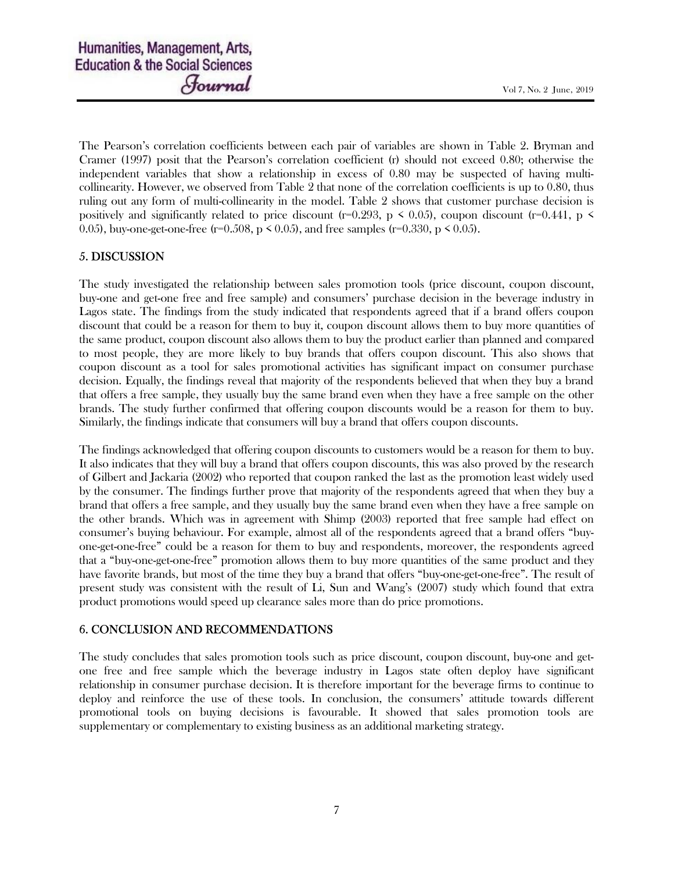The Pearson's correlation coefficients between each pair of variables are shown in Table 2. Bryman and Cramer (1997) posit that the Pearson's correlation coefficient (r) should not exceed 0.80; otherwise the independent variables that show a relationship in excess of 0.80 may be suspected of having multicollinearity. However, we observed from Table 2 that none of the correlation coefficients is up to 0.80, thus ruling out any form of multi-collinearity in the model. Table 2 shows that customer purchase decision is positively and significantly related to price discount (r=0.293, p < 0.05), coupon discount (r=0.441, p < 0.05), buy-one-get-one-free (r=0.508, p < 0.05), and free samples (r=0.330, p < 0.05).

### 5. DISCUSSION

The study investigated the relationship between sales promotion tools (price discount, coupon discount, buy-one and get-one free and free sample) and consumers' purchase decision in the beverage industry in Lagos state. The findings from the study indicated that respondents agreed that if a brand offers coupon discount that could be a reason for them to buy it, coupon discount allows them to buy more quantities of the same product, coupon discount also allows them to buy the product earlier than planned and compared to most people, they are more likely to buy brands that offers coupon discount. This also shows that coupon discount as a tool for sales promotional activities has significant impact on consumer purchase decision. Equally, the findings reveal that majority of the respondents believed that when they buy a brand that offers a free sample, they usually buy the same brand even when they have a free sample on the other brands. The study further confirmed that offering coupon discounts would be a reason for them to buy. Similarly, the findings indicate that consumers will buy a brand that offers coupon discounts.

The findings acknowledged that offering coupon discounts to customers would be a reason for them to buy. It also indicates that they will buy a brand that offers coupon discounts, this was also proved by the research of Gilbert and Jackaria (2002) who reported that coupon ranked the last as the promotion least widely used by the consumer. The findings further prove that majority of the respondents agreed that when they buy a brand that offers a free sample, and they usually buy the same brand even when they have a free sample on the other brands. Which was in agreement with Shimp (2003) reported that free sample had effect on consumer's buying behaviour. For example, almost all of the respondents agreed that a brand offers "buyone-get-one-free" could be a reason for them to buy and respondents, moreover, the respondents agreed that a "buy-one-get-one-free" promotion allows them to buy more quantities of the same product and they have favorite brands, but most of the time they buy a brand that offers "buy-one-get-one-free". The result of present study was consistent with the result of Li, Sun and Wang's (2007) study which found that extra product promotions would speed up clearance sales more than do price promotions.

### 6. CONCLUSION AND RECOMMENDATIONS

The study concludes that sales promotion tools such as price discount, coupon discount, buy-one and getone free and free sample which the beverage industry in Lagos state often deploy have significant relationship in consumer purchase decision. It is therefore important for the beverage firms to continue to deploy and reinforce the use of these tools. In conclusion, the consumers' attitude towards different promotional tools on buying decisions is favourable. It showed that sales promotion tools are supplementary or complementary to existing business as an additional marketing strategy.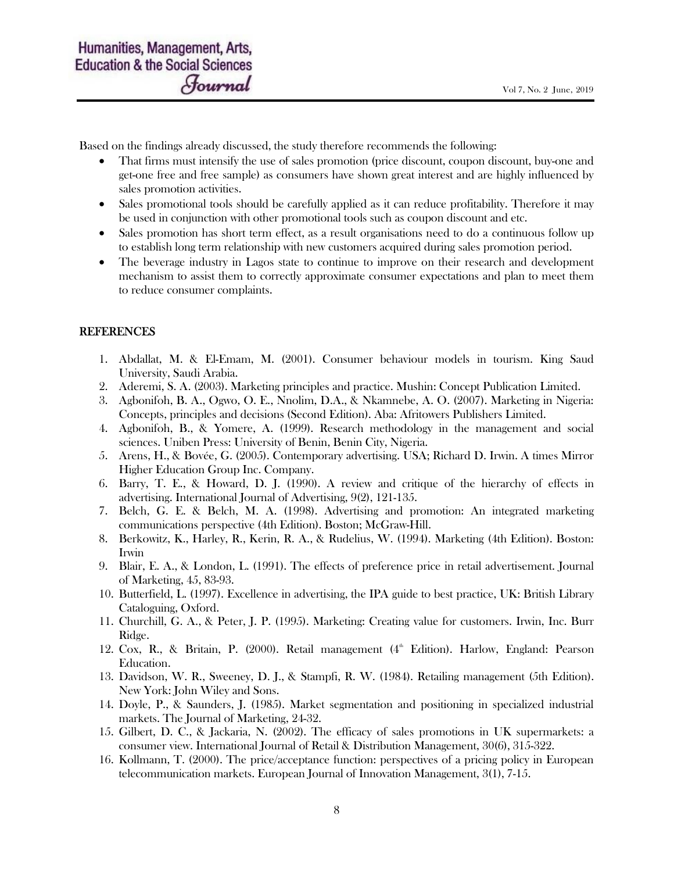Based on the findings already discussed, the study therefore recommends the following:

- That firms must intensify the use of sales promotion (price discount, coupon discount, buy-one and get-one free and free sample) as consumers have shown great interest and are highly influenced by sales promotion activities.
- Sales promotional tools should be carefully applied as it can reduce profitability. Therefore it may be used in conjunction with other promotional tools such as coupon discount and etc.
- Sales promotion has short term effect, as a result organisations need to do a continuous follow up to establish long term relationship with new customers acquired during sales promotion period.
- The beverage industry in Lagos state to continue to improve on their research and development mechanism to assist them to correctly approximate consumer expectations and plan to meet them to reduce consumer complaints.

### REFERENCES

- 1. Abdallat, M. & El-Emam, M. (2001). Consumer behaviour models in tourism. King Saud University, Saudi Arabia.
- 2. Aderemi, S. A. (2003). Marketing principles and practice. Mushin: Concept Publication Limited.
- 3. Agbonifoh, B. A., Ogwo, O. E., Nnolim, D.A., & Nkamnebe, A. O. (2007). Marketing in Nigeria: Concepts, principles and decisions (Second Edition). Aba: Afritowers Publishers Limited.
- 4. Agbonifoh, B., & Yomere, A. (1999). Research methodology in the management and social sciences. Uniben Press: University of Benin, Benin City, Nigeria.
- 5. Arens, H., & Bovée, G. (2005). Contemporary advertising. USA; Richard D. Irwin. A times Mirror Higher Education Group Inc. Company.
- 6. Barry, T. E., & Howard, D. J. (1990). A review and critique of the hierarchy of effects in advertising. International Journal of Advertising, 9(2), 121-135.
- 7. Belch, G. E. & Belch, M. A. (1998). Advertising and promotion: An integrated marketing communications perspective (4th Edition). Boston; McGraw-Hill.
- 8. Berkowitz, K., Harley, R., Kerin, R. A., & Rudelius, W. (1994). Marketing (4th Edition). Boston: Irwin
- 9. Blair, E. A., & London, L. (1991). The effects of preference price in retail advertisement. Journal of Marketing, 45, 83-93.
- 10. Butterfield, L. (1997). Excellence in advertising, the IPA guide to best practice, UK: British Library Cataloguing, Oxford.
- 11. Churchill, G. A., & Peter, J. P. (1995). Marketing: Creating value for customers. Irwin, Inc. Burr Ridge.
- 12. Cox, R., & Britain, P. (2000). Retail management (4<sup>th</sup> Edition). Harlow, England: Pearson Education.
- 13. Davidson, W. R., Sweeney, D. J., & Stampfi, R. W. (1984). Retailing management (5th Edition). New York: John Wiley and Sons.
- 14. Doyle, P., & Saunders, J. (1985). Market segmentation and positioning in specialized industrial markets. The Journal of Marketing, 24-32.
- 15. Gilbert, D. C., & Jackaria, N. (2002). The efficacy of sales promotions in UK supermarkets: a consumer view. International Journal of Retail & Distribution Management, 30(6), 315-322.
- 16. Kollmann, T. (2000). The price/acceptance function: perspectives of a pricing policy in European telecommunication markets. European Journal of Innovation Management, 3(1), 7-15.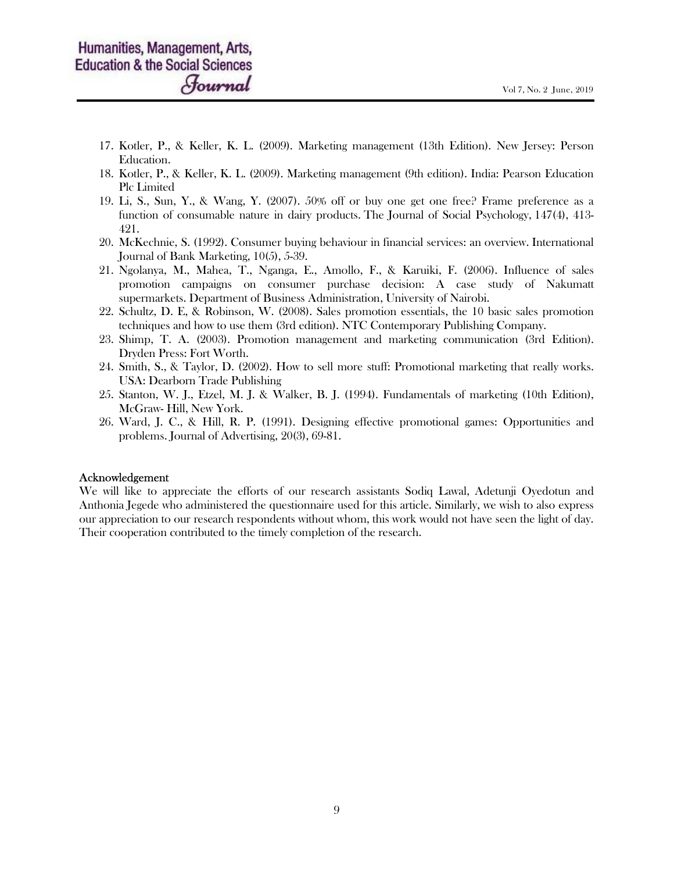- 17. Kotler, P., & Keller, K. L. (2009). Marketing management (13th Edition). New Jersey: Person Education.
- 18. Kotler, P., & Keller, K. L. (2009). Marketing management (9th edition). India: Pearson Education Plc Limited
- 19. Li, S., Sun, Y., & Wang, Y. (2007). 50% off or buy one get one free? Frame preference as a function of consumable nature in dairy products. The Journal of Social Psychology, 147(4), 413- 421.
- 20. McKechnie, S. (1992). Consumer buying behaviour in financial services: an overview. International Journal of Bank Marketing, 10(5), 5-39.
- 21. Ngolanya, M., Mahea, T., Nganga, E., Amollo, F., & Karuiki, F. (2006). Influence of sales promotion campaigns on consumer purchase decision: A case study of Nakumatt supermarkets. Department of Business Administration, University of Nairobi.
- 22. Schultz, D. E, & Robinson, W. (2008). Sales promotion essentials, the 10 basic sales promotion techniques and how to use them (3rd edition). NTC Contemporary Publishing Company.
- 23. Shimp, T. A. (2003). Promotion management and marketing communication (3rd Edition). Dryden Press: Fort Worth.
- 24. Smith, S., & Taylor, D. (2002). How to sell more stuff: Promotional marketing that really works. USA: Dearborn Trade Publishing
- 25. Stanton, W. J., Etzel, M. J. & Walker, B. J. (1994). Fundamentals of marketing (10th Edition), McGraw- Hill, New York.
- 26. Ward, J. C., & Hill, R. P. (1991). Designing effective promotional games: Opportunities and problems. Journal of Advertising, 20(3), 69-81.

#### Acknowledgement

We will like to appreciate the efforts of our research assistants Sodiq Lawal, Adetunji Oyedotun and Anthonia Jegede who administered the questionnaire used for this article. Similarly, we wish to also express our appreciation to our research respondents without whom, this work would not have seen the light of day. Their cooperation contributed to the timely completion of the research.